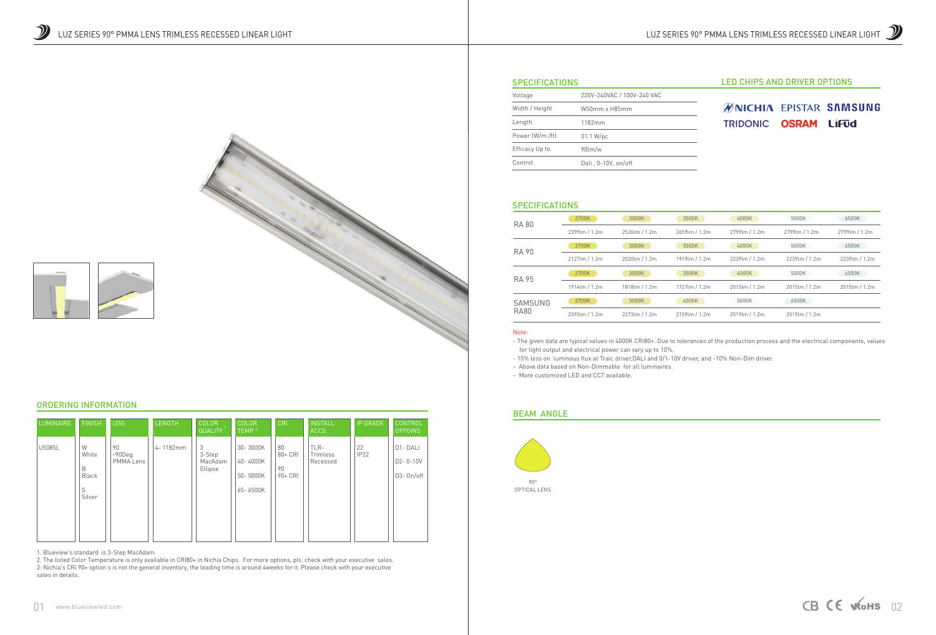#### **SPECIFICATIONS**



## LED CHIPS AND DRIVER OPTIONS

# **ØNICHIA EPISTAR SAMSUNG** TRIDONIC OSRAM LIFUd

| Voltage         | 220V-240VAC / 100V-240 VAC |  |  |
|-----------------|----------------------------|--|--|
| Width / Height  | W50mm x H85mm              |  |  |
| Length          | 1182mm                     |  |  |
| Power (W/m /ft) | 31.1 W/pc                  |  |  |
| Efficacy Up to  | $90$ lm/w                  |  |  |
| Control         | Dali, 0-10V, on/off        |  |  |

#### **SPECIFICATIONS**

#### Note:

- The given data are typical values in 4000K CRI80+. Due to tolerances of the production process and the electrical components, values for light output and electrical power can vary up to 10%. - 15% less on luminous flux at Traic driver,DALI and 0/1-10V driver, and -10% Non-Dim driver.

- Above data based on Non-Dimmable for all luminaires.
- More customized LED and CCT available.

| <b>RA 80</b>           | 2700K                           | 3000K                     | 3500K          | 4000K            | 5000K              | 6500K         |
|------------------------|---------------------------------|---------------------------|----------------|------------------|--------------------|---------------|
|                        | 2399lm / 1.2m                   | 2526lm / 1.2m             | 2659lm / 1.2m  | 2799 lm / 1.2m   | 2799 lm / 1.2m     | 2799lm / 1.2m |
| RA 90                  | 2700K                           | 3000K                     | 3500K          | 4000K            | 5000K              | 6500K         |
|                        | $2127 \text{lm} / 1.2 \text{m}$ | $2020 \, \text{m}$ / 1.2m | 1919 lm / 1.2m | $2239$ lm / 1.2m | $2239$ lm / 1.2m   | 2239lm / 1.2m |
| <b>RA 95</b>           | 2700K                           | 3000K                     | 3500K          | 4000K            | 5000K              | 6500K         |
|                        | 1914 lm / 1.2m                  | 1818lm / 1.2m             | 1727 lm / 1.2m | $2015$ lm / 1.2m | $2015$ lm $/1.2$ m | 2015lm / 1.2m |
| SAMSUNG<br><b>RA80</b> | 2700K                           | 3000K                     | 4000K          | 5000K            | 6500K              |               |
|                        | 2393lm / 1.2m                   | 2273lm / 1.2m             | 2159 lm / 1.2m | 2519lm / 1.2m    | 2519lm / 1.2m      |               |

### BEAM ANGLE

## ORDERING INFORMATION

1. Blueview's standard is 3-Step MacAdam

| <b>LUMINAIRE</b> | <b>FINISH</b>                                  | <b>LENS</b>                          | <b>LENGTH</b> | <b>COLOR</b><br><b>QUALITY</b>    | <b>COLOR</b><br>TEMP <sup>2</sup>            | <b>CRI</b>                         | <b>INSTALL</b><br>ACCS.      | <b>IP GRADE</b> | <b>CONTROL</b><br><b>OPTOINS</b>                           |
|------------------|------------------------------------------------|--------------------------------------|---------------|-----------------------------------|----------------------------------------------|------------------------------------|------------------------------|-----------------|------------------------------------------------------------|
| U5085L           | W<br>White<br>B<br><b>Black</b><br>S<br>Silver | 90<br>$-90$ Deq.<br><b>PMMA Lens</b> | 4-1182mm      | 3<br>3-Step<br>MacAdam<br>Ellipse | 30-3000K<br>40-4000K<br>50-5000K<br>65-6500K | 80<br>$80 + CR$<br>90<br>$90 + CR$ | TLR-<br>Trimless<br>Recessed | 22<br>IP22      | D <sub>1</sub> -D <sub>ALI</sub><br>D2-0-10V<br>D3- On/off |

2. The listed Color Temperature is only available in CRI80+ in Nichia Chips. For more options, pls. check with your executive sales. 3: Nichia's CRI 90+ option's is not the general inventory, the leading time is around 4weeks for it. Please check with your executive sales in details.



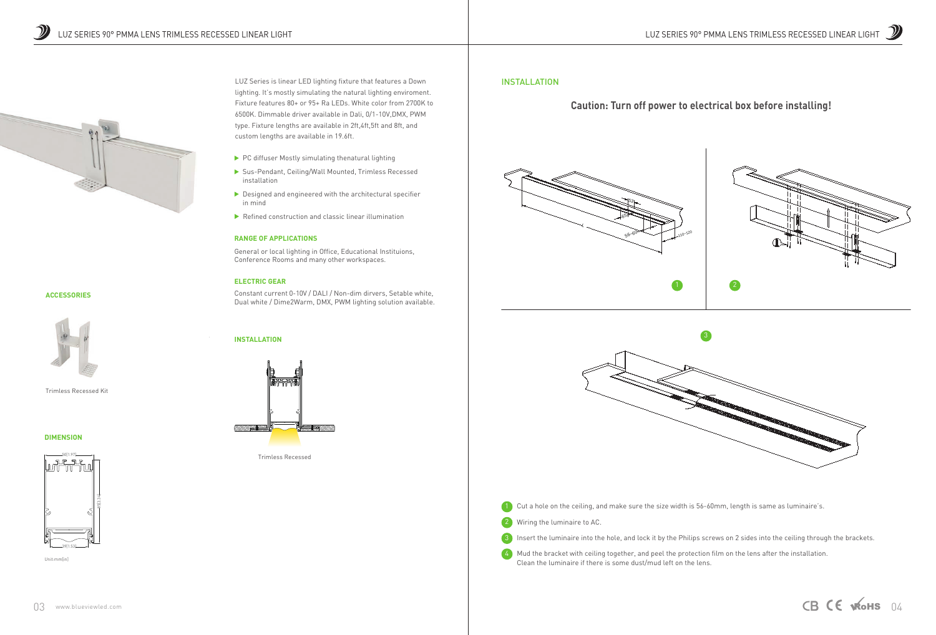

3 Insert the luminaire into the hole, and lock it by the Philips screws on 2 sides into the ceiling through the brackets.

4) Mud the bracket with ceiling together, and peel the protection film on the lens after the installation. Clean the luminaire if there is some dust/mud left on the lens.

#### INSTALLATION

# **Caution: Turn off power to electrical box before installing!**





Trimless Recessed

#### **ACCESSORIES**



Trimless Recessed Kit

#### **DIMENSION**

#### **RANGE OF APPLICATIONS**

General or local lighting in Office, Educational Instituions, Conference Rooms and many other workspaces.

#### **ELECTRIC GEAR**

Constant current 0-10V / DALI / Non-dim dirvers, Setable white, Dual white / Dime2Warm, DMX, PWM lighting solution available.



LUZ Series is linear LED lighting fixture that features a Down lighting. It's mostly simulating the natural lighting enviroment. Fixture features 80+ or 95+ Ra LEDs. White color from 2700K to 6500K. Dimmable driver available in Dali, 0/1-10V,DMX, PWM type. Fixture lengths are available in 2ft,4ft,5ft and 8ft, and custom lengths are available in 19.6ft.

- $\blacktriangleright$  PC diffuser Mostly simulating thenatural lighting
- Sus-Pendant, Ceiling/Wall Mounted, Trimless Recessed installation
- $\triangleright$  Designed and engineered with the architectural specifier in mind
- $\blacktriangleright$  Refined construction and classic linear illumination







Unit:mm[in]